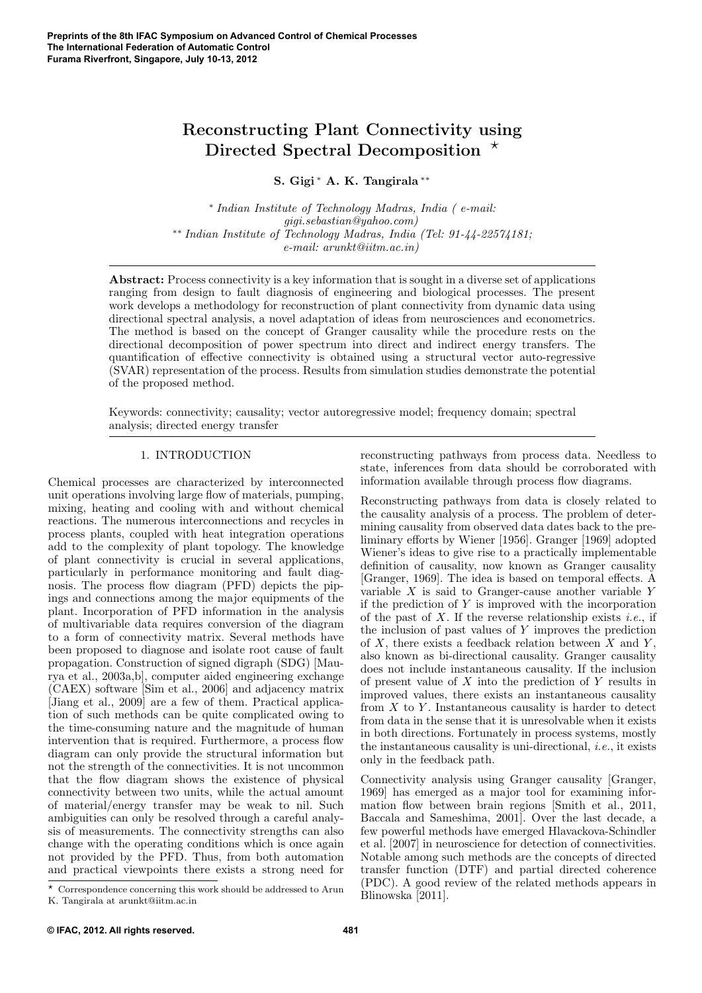# Reconstructing Plant Connectivity using Directed Spectral Decomposition  $*$

S. Gigi <sup>∗</sup> A. K. Tangirala ∗∗

∗ Indian Institute of Technology Madras, India ( e-mail: gigi.sebastian@yahoo.com) ∗∗ Indian Institute of Technology Madras, India (Tel: 91-44-22574181; e-mail: arunkt@iitm.ac.in)

Abstract: Process connectivity is a key information that is sought in a diverse set of applications ranging from design to fault diagnosis of engineering and biological processes. The present work develops a methodology for reconstruction of plant connectivity from dynamic data using directional spectral analysis, a novel adaptation of ideas from neurosciences and econometrics. The method is based on the concept of Granger causality while the procedure rests on the directional decomposition of power spectrum into direct and indirect energy transfers. The quantification of effective connectivity is obtained using a structural vector auto-regressive (SVAR) representation of the process. Results from simulation studies demonstrate the potential of the proposed method.

Keywords: connectivity; causality; vector autoregressive model; frequency domain; spectral analysis; directed energy transfer

## 1. INTRODUCTION

Chemical processes are characterized by interconnected unit operations involving large flow of materials, pumping, mixing, heating and cooling with and without chemical reactions. The numerous interconnections and recycles in process plants, coupled with heat integration operations add to the complexity of plant topology. The knowledge of plant connectivity is crucial in several applications, particularly in performance monitoring and fault diagnosis. The process flow diagram (PFD) depicts the pipings and connections among the major equipments of the plant. Incorporation of PFD information in the analysis of multivariable data requires conversion of the diagram to a form of connectivity matrix. Several methods have been proposed to diagnose and isolate root cause of fault propagation. Construction of signed digraph (SDG) [Maurya et al., 2003a,b], computer aided engineering exchange (CAEX) software [Sim et al., 2006] and adjacency matrix [Jiang et al., 2009] are a few of them. Practical application of such methods can be quite complicated owing to the time-consuming nature and the magnitude of human intervention that is required. Furthermore, a process flow diagram can only provide the structural information but not the strength of the connectivities. It is not uncommon that the flow diagram shows the existence of physical connectivity between two units, while the actual amount of material/energy transfer may be weak to nil. Such ambiguities can only be resolved through a careful analysis of measurements. The connectivity strengths can also change with the operating conditions which is once again not provided by the PFD. Thus, from both automation and practical viewpoints there exists a strong need for

reconstructing pathways from process data. Needless to state, inferences from data should be corroborated with information available through process flow diagrams.

Reconstructing pathways from data is closely related to the causality analysis of a process. The problem of determining causality from observed data dates back to the preliminary efforts by Wiener [1956]. Granger [1969] adopted Wiener's ideas to give rise to a practically implementable definition of causality, now known as Granger causality [Granger, 1969]. The idea is based on temporal effects. A variable  $X$  is said to Granger-cause another variable  $Y$ if the prediction of  $Y$  is improved with the incorporation of the past of  $X$ . If the reverse relationship exists *i.e.*, if the inclusion of past values of Y improves the prediction of  $X$ , there exists a feedback relation between  $\overline{X}$  and  $\overline{Y}$ , also known as bi-directional causality. Granger causality does not include instantaneous causality. If the inclusion of present value of  $X$  into the prediction of  $Y$  results in improved values, there exists an instantaneous causality from  $X$  to  $Y$ . Instantaneous causality is harder to detect from data in the sense that it is unresolvable when it exists in both directions. Fortunately in process systems, mostly the instantaneous causality is uni-directional, i.e., it exists only in the feedback path.

Connectivity analysis using Granger causality [Granger, 1969] has emerged as a major tool for examining information flow between brain regions [Smith et al., 2011, Baccala and Sameshima, 2001]. Over the last decade, a few powerful methods have emerged Hlavackova-Schindler et al. [2007] in neuroscience for detection of connectivities. Notable among such methods are the concepts of directed transfer function (DTF) and partial directed coherence (PDC). A good review of the related methods appears in Blinowska [2011].

 $\star$  Correspondence concerning this work should be addressed to Arun K. Tangirala at arunkt@iitm.ac.in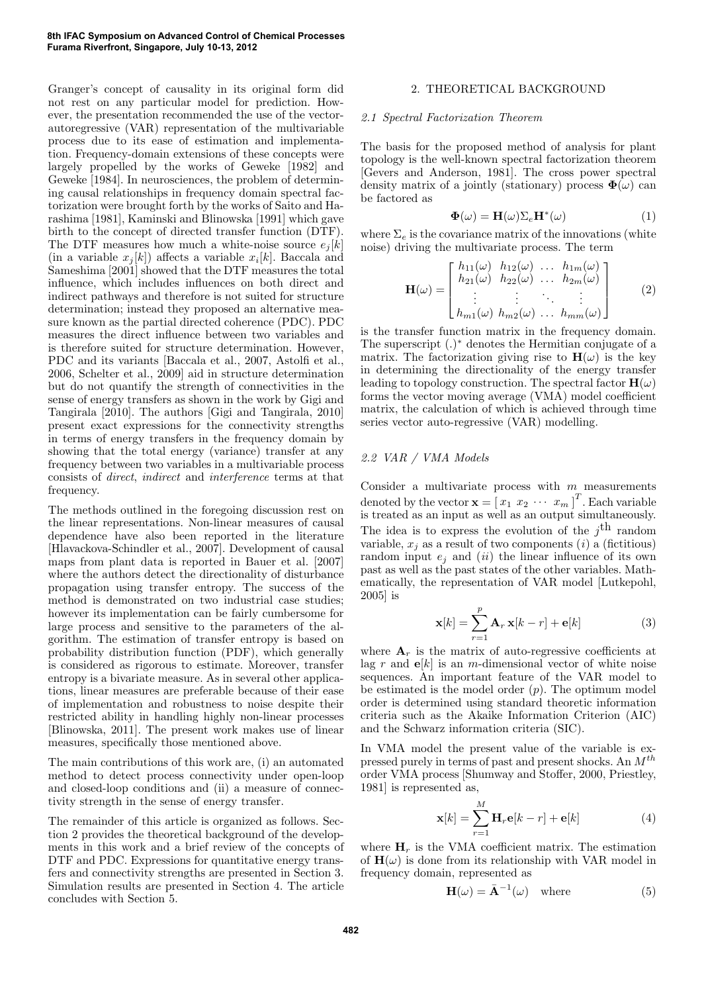Granger's concept of causality in its original form did not rest on any particular model for prediction. However, the presentation recommended the use of the vectorautoregressive (VAR) representation of the multivariable process due to its ease of estimation and implementation. Frequency-domain extensions of these concepts were largely propelled by the works of Geweke [1982] and Geweke [1984]. In neurosciences, the problem of determining causal relationships in frequency domain spectral factorization were brought forth by the works of Saito and Harashima [1981], Kaminski and Blinowska [1991] which gave birth to the concept of directed transfer function (DTF). The DTF measures how much a white-noise source  $e_i[k]$ (in a variable  $x_j[k]$ ) affects a variable  $x_i[k]$ . Baccala and Sameshima [2001] showed that the DTF measures the total influence, which includes influences on both direct and indirect pathways and therefore is not suited for structure determination; instead they proposed an alternative measure known as the partial directed coherence (PDC). PDC measures the direct influence between two variables and is therefore suited for structure determination. However, PDC and its variants [Baccala et al., 2007, Astolfi et al., 2006, Schelter et al., 2009] aid in structure determination but do not quantify the strength of connectivities in the sense of energy transfers as shown in the work by Gigi and Tangirala [2010]. The authors [Gigi and Tangirala, 2010] present exact expressions for the connectivity strengths in terms of energy transfers in the frequency domain by showing that the total energy (variance) transfer at any frequency between two variables in a multivariable process consists of direct, indirect and interference terms at that frequency.

The methods outlined in the foregoing discussion rest on the linear representations. Non-linear measures of causal dependence have also been reported in the literature [Hlavackova-Schindler et al., 2007]. Development of causal maps from plant data is reported in Bauer et al. [2007] where the authors detect the directionality of disturbance propagation using transfer entropy. The success of the method is demonstrated on two industrial case studies; however its implementation can be fairly cumbersome for large process and sensitive to the parameters of the algorithm. The estimation of transfer entropy is based on probability distribution function (PDF), which generally is considered as rigorous to estimate. Moreover, transfer entropy is a bivariate measure. As in several other applications, linear measures are preferable because of their ease of implementation and robustness to noise despite their restricted ability in handling highly non-linear processes [Blinowska, 2011]. The present work makes use of linear measures, specifically those mentioned above.

The main contributions of this work are, (i) an automated method to detect process connectivity under open-loop and closed-loop conditions and (ii) a measure of connectivity strength in the sense of energy transfer.

The remainder of this article is organized as follows. Section 2 provides the theoretical background of the developments in this work and a brief review of the concepts of DTF and PDC. Expressions for quantitative energy transfers and connectivity strengths are presented in Section 3. Simulation results are presented in Section 4. The article concludes with Section 5.

# 2. THEORETICAL BACKGROUND

#### 2.1 Spectral Factorization Theorem

The basis for the proposed method of analysis for plant topology is the well-known spectral factorization theorem [Gevers and Anderson, 1981]. The cross power spectral density matrix of a jointly (stationary) process  $\Phi(\omega)$  can be factored as

$$
\mathbf{\Phi}(\omega) = \mathbf{H}(\omega) \Sigma_e \mathbf{H}^*(\omega) \tag{1}
$$

where  $\Sigma_e$  is the covariance matrix of the innovations (white noise) driving the multivariate process. The term

$$
\mathbf{H}(\omega) = \begin{bmatrix} h_{11}(\omega) & h_{12}(\omega) & \dots & h_{1m}(\omega) \\ h_{21}(\omega) & h_{22}(\omega) & \dots & h_{2m}(\omega) \\ \vdots & \vdots & \ddots & \vdots \\ h_{m1}(\omega) & h_{m2}(\omega) & \dots & h_{mm}(\omega) \end{bmatrix}
$$
 (2)

is the transfer function matrix in the frequency domain. The superscript (.) <sup>∗</sup> denotes the Hermitian conjugate of a matrix. The factorization giving rise to  $H(\omega)$  is the key in determining the directionality of the energy transfer leading to topology construction. The spectral factor  $H(\omega)$ forms the vector moving average (VMA) model coefficient matrix, the calculation of which is achieved through time series vector auto-regressive (VAR) modelling.

# 2.2 VAR / VMA Models

Consider a multivariate process with  $m$  measurements denoted by the vector  $\mathbf{x} = \begin{bmatrix} x_1 & x_2 & \cdots & x_m \end{bmatrix}^T$ . Each variable is treated as an input as well as an output simultaneously. The idea is to express the evolution of the  $j<sup>th</sup>$  random variable,  $x_i$  as a result of two components (*i*) a (fictitious) random input  $e_i$  and (ii) the linear influence of its own past as well as the past states of the other variables. Mathematically, the representation of VAR model [Lutkepohl, 2005] is

$$
\mathbf{x}[k] = \sum_{r=1}^{p} \mathbf{A}_r \mathbf{x}[k-r] + \mathbf{e}[k]
$$
 (3)

where  $A_r$  is the matrix of auto-regressive coefficients at lag r and  $e[k]$  is an m-dimensional vector of white noise sequences. An important feature of the VAR model to be estimated is the model order  $(p)$ . The optimum model order is determined using standard theoretic information criteria such as the Akaike Information Criterion (AIC) and the Schwarz information criteria (SIC).

In VMA model the present value of the variable is expressed purely in terms of past and present shocks. An  $M^{th}$ order VMA process [Shumway and Stoffer, 2000, Priestley, 1981] is represented as,

$$
\mathbf{x}[k] = \sum_{r=1}^{M} \mathbf{H}_r \mathbf{e}[k-r] + \mathbf{e}[k]
$$
 (4)

where  $H_r$  is the VMA coefficient matrix. The estimation of  $H(\omega)$  is done from its relationship with VAR model in frequency domain, represented as

$$
\mathbf{H}(\omega) = \bar{\mathbf{A}}^{-1}(\omega) \quad \text{where} \tag{5}
$$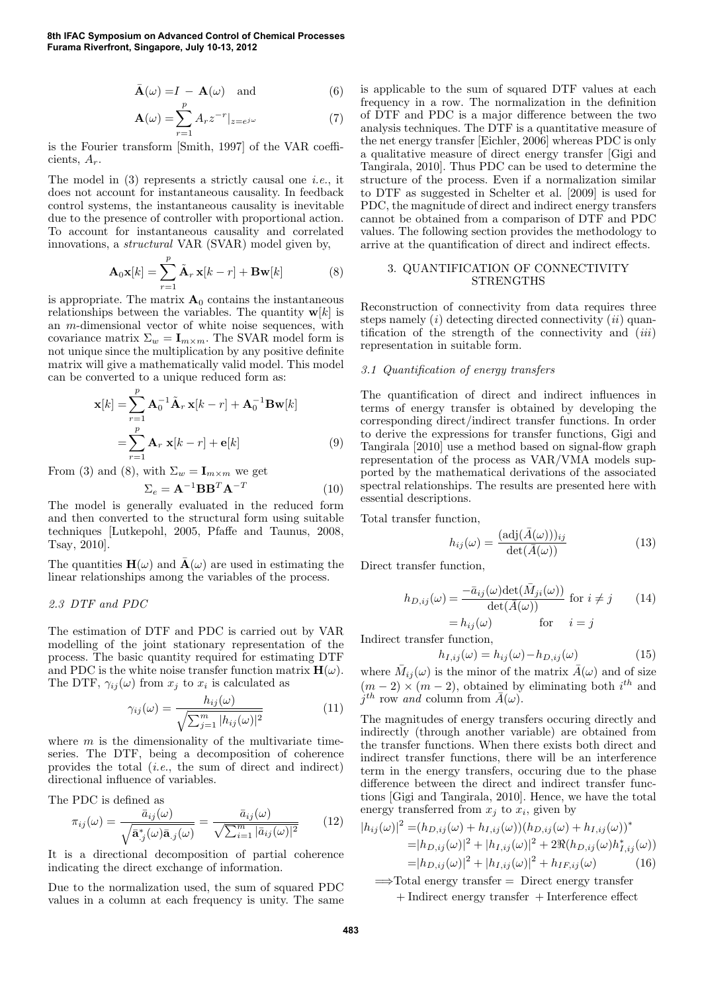$$
\bar{\mathbf{A}}(\omega) = I - \mathbf{A}(\omega) \quad \text{and} \tag{6}
$$

$$
\mathbf{A}(\omega) = \sum_{r=1}^{p} A_r z^{-r} |_{z=e^{j\omega}}
$$
 (7)

is the Fourier transform [Smith, 1997] of the VAR coefficients,  $A_r$ .

The model in  $(3)$  represents a strictly causal one *i.e.*, it does not account for instantaneous causality. In feedback control systems, the instantaneous causality is inevitable due to the presence of controller with proportional action. To account for instantaneous causality and correlated innovations, a structural VAR (SVAR) model given by,

$$
\mathbf{A}_0 \mathbf{x}[k] = \sum_{r=1}^p \tilde{\mathbf{A}}_r \mathbf{x}[k-r] + \mathbf{B} \mathbf{w}[k]
$$
 (8)

is appropriate. The matrix  $A_0$  contains the instantaneous relationships between the variables. The quantity  $w[k]$  is an m-dimensional vector of white noise sequences, with covariance matrix  $\Sigma_w = \mathbf{I}_{m \times m}$ . The SVAR model form is not unique since the multiplication by any positive definite matrix will give a mathematically valid model. This model can be converted to a unique reduced form as:

$$
\mathbf{x}[k] = \sum_{r=1}^{p} \mathbf{A}_0^{-1} \tilde{\mathbf{A}}_r \mathbf{x}[k-r] + \mathbf{A}_0^{-1} \mathbf{B} \mathbf{w}[k]
$$

$$
= \sum_{r=1}^{p} \mathbf{A}_r \mathbf{x}[k-r] + \mathbf{e}[k]
$$
(9)

From (3) and (8), with  $\Sigma_w = I_{m \times m}$  we get

$$
\Sigma_e = \mathbf{A}^{-1} \mathbf{B} \mathbf{B}^T \mathbf{A}^{-T} \tag{10}
$$

The model is generally evaluated in the reduced form and then converted to the structural form using suitable techniques [Lutkepohl, 2005, Pfaffe and Taunus, 2008, Tsay, 2010].

The quantities  $H(\omega)$  and  $\bar{A}(\omega)$  are used in estimating the linear relationships among the variables of the process.

## 2.3 DTF and PDC

The estimation of DTF and PDC is carried out by VAR modelling of the joint stationary representation of the process. The basic quantity required for estimating DTF and PDC is the white noise transfer function matrix  $H(\omega)$ . The DTF,  $\gamma_{ij}(\omega)$  from  $x_j$  to  $x_i$  is calculated as

$$
\gamma_{ij}(\omega) = \frac{h_{ij}(\omega)}{\sqrt{\sum_{j=1}^{m} |h_{ij}(\omega)|^2}} \tag{11}
$$

where  $m$  is the dimensionality of the multivariate timeseries. The DTF, being a decomposition of coherence provides the total (i.e., the sum of direct and indirect) directional influence of variables.

The PDC is defined as

$$
\pi_{ij}(\omega) = \frac{\bar{a}_{ij}(\omega)}{\sqrt{\bar{\mathbf{a}}^*_{.j}(\omega)\bar{\mathbf{a}}_{.j}(\omega)}} = \frac{\bar{a}_{ij}(\omega)}{\sqrt{\sum_{i=1}^m |\bar{a}_{ij}(\omega)|^2}} \qquad (12)
$$

It is a directional decomposition of partial coherence indicating the direct exchange of information.

Due to the normalization used, the sum of squared PDC values in a column at each frequency is unity. The same is applicable to the sum of squared DTF values at each frequency in a row. The normalization in the definition of DTF and PDC is a major difference between the two analysis techniques. The DTF is a quantitative measure of the net energy transfer [Eichler, 2006] whereas PDC is only a qualitative measure of direct energy transfer [Gigi and Tangirala, 2010]. Thus PDC can be used to determine the structure of the process. Even if a normalization similar to DTF as suggested in Schelter et al. [2009] is used for PDC, the magnitude of direct and indirect energy transfers cannot be obtained from a comparison of DTF and PDC values. The following section provides the methodology to arrive at the quantification of direct and indirect effects.

# 3. QUANTIFICATION OF CONNECTIVITY STRENGTHS

Reconstruction of connectivity from data requires three steps namely  $(i)$  detecting directed connectivity  $(ii)$  quantification of the strength of the connectivity and  $(iii)$ representation in suitable form.

#### 3.1 Quantification of energy transfers

The quantification of direct and indirect influences in terms of energy transfer is obtained by developing the corresponding direct/indirect transfer functions. In order to derive the expressions for transfer functions, Gigi and Tangirala [2010] use a method based on signal-flow graph representation of the process as VAR/VMA models supported by the mathematical derivations of the associated spectral relationships. The results are presented here with essential descriptions.

Total transfer function,

$$
h_{ij}(\omega) = \frac{(\text{adj}(\bar{A}(\omega)))_{ij}}{\text{det}(\bar{A}(\omega))}
$$
(13)

Direct transfer function,

$$
h_{D,ij}(\omega) = \frac{-\bar{a}_{ij}(\omega)\det(\bar{M}_{ji}(\omega))}{\det(\bar{A}(\omega))} \text{ for } i \neq j \qquad (14)
$$

$$
= h_{ij}(\omega) \qquad \text{for } i = j
$$

Indirect transfer function,

$$
h_{I,ij}(\omega) = h_{ij}(\omega) - h_{D,ij}(\omega)
$$
\n(15)

where  $\bar{M}_{ij}(\omega)$  is the minor of the matrix  $\bar{A}(\omega)$  and of size  $(m-2) \times (m-2)$ , obtained by eliminating both  $i^{th}$  and  $j^{th}$  row and column from  $\bar{A}(\omega)$ .

The magnitudes of energy transfers occuring directly and indirectly (through another variable) are obtained from the transfer functions. When there exists both direct and indirect transfer functions, there will be an interference term in the energy transfers, occuring due to the phase difference between the direct and indirect transfer functions [Gigi and Tangirala, 2010]. Hence, we have the total energy transferred from  $x_j$  to  $x_i$ , given by

$$
|h_{ij}(\omega)|^2 = (h_{D,ij}(\omega) + h_{I,ij}(\omega))(h_{D,ij}(\omega) + h_{I,ij}(\omega))^*
$$
  
=  $|h_{D,ij}(\omega)|^2 + |h_{I,ij}(\omega)|^2 + 2\Re(h_{D,ij}(\omega)h_{I,ij}^*(\omega))$   
=  $|h_{D,ij}(\omega)|^2 + |h_{I,ij}(\omega)|^2 + h_{IF,ij}(\omega)$  (16)

 $\implies$ Total energy transfer = Direct energy transfer + Indirect energy transfer + Interference effect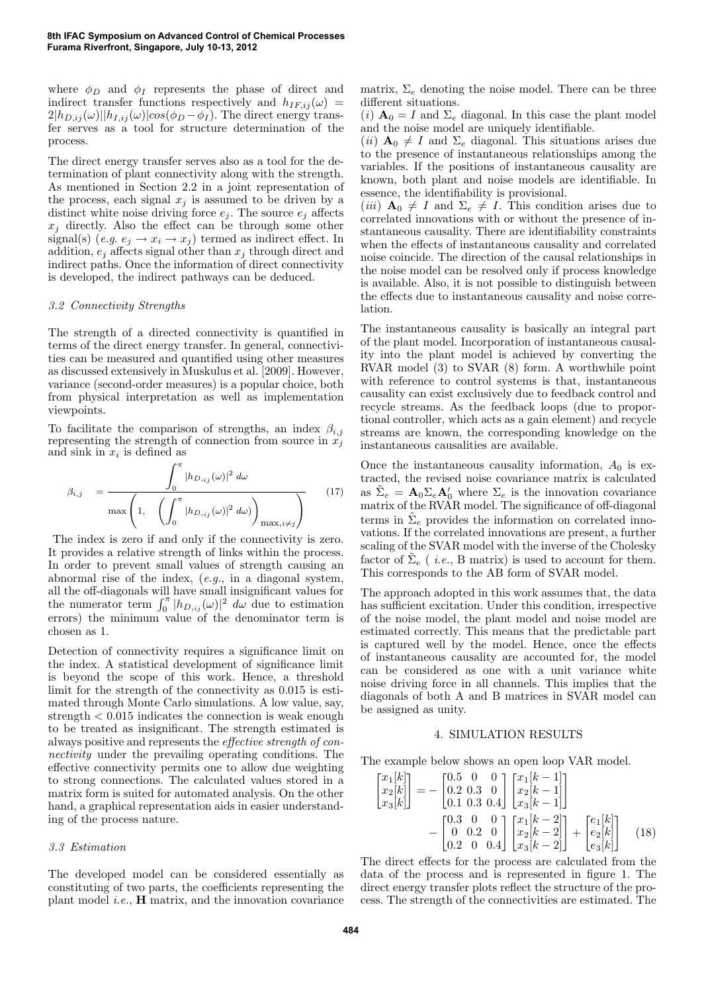where  $\phi_D$  and  $\phi_I$  represents the phase of direct and indirect transfer functions respectively and  $h_{IF,ij}(\omega)$  =  $2|h_{D,ij}(\omega)||h_{I,ij}(\omega)|\cos(\phi_D - \phi_I)$ . The direct energy transfer serves as a tool for structure determination of the process.

The direct energy transfer serves also as a tool for the determination of plant connectivity along with the strength. As mentioned in Section 2.2 in a joint representation of the process, each signal  $x_j$  is assumed to be driven by a distinct white noise driving force  $e_i$ . The source  $e_i$  affects  $x_j$  directly. Also the effect can be through some other signal(s)  $(e.g. e_j \rightarrow x_i \rightarrow x_j)$  termed as indirect effect. In addition,  $e_i$  affects signal other than  $x_i$  through direct and indirect paths. Once the information of direct connectivity is developed, the indirect pathways can be deduced.

#### 3.2 Connectivity Strengths

The strength of a directed connectivity is quantified in terms of the direct energy transfer. In general, connectivities can be measured and quantified using other measures as discussed extensively in Muskulus et al. [2009]. However, variance (second-order measures) is a popular choice, both from physical interpretation as well as implementation viewpoints.

To facilitate the comparison of strengths, an index  $\beta_{i,j}$ representing the strength of connection from source in  $x_j$ and sink in  $x_i$  is defined as

$$
\beta_{i,j} = \frac{\int_0^\pi |h_{D,ij}(\omega)|^2 d\omega}{\max\left(1, \quad \left(\int_0^\pi |h_{D,ij}(\omega)|^2 d\omega\right)_{\max, i\neq j}\right)}
$$
(17)

The index is zero if and only if the connectivity is zero. It provides a relative strength of links within the process. In order to prevent small values of strength causing an abnormal rise of the index, (e.g., in a diagonal system, all the off-diagonals will have small insignificant values for the numerator term  $\int_0^{\pi} |h_{D_{i,j}}(\omega)|^2 d\omega$  due to estimation errors) the minimum value of the denominator term is chosen as 1.

Detection of connectivity requires a significance limit on the index. A statistical development of significance limit is beyond the scope of this work. Hence, a threshold limit for the strength of the connectivity as 0.015 is estimated through Monte Carlo simulations. A low value, say, strength  $< 0.015$  indicates the connection is weak enough to be treated as insignificant. The strength estimated is always positive and represents the effective strength of connectivity under the prevailing operating conditions. The effective connectivity permits one to allow due weighting to strong connections. The calculated values stored in a matrix form is suited for automated analysis. On the other hand, a graphical representation aids in easier understanding of the process nature.

#### 3.3 Estimation

The developed model can be considered essentially as constituting of two parts, the coefficients representing the plant model  $i.e.,$  **H** matrix, and the innovation covariance matrix,  $\Sigma_e$  denoting the noise model. There can be three different situations.

(i)  $\mathbf{A}_0 = I$  and  $\Sigma_e$  diagonal. In this case the plant model and the noise model are uniquely identifiable.

(*ii*)  $A_0 \neq I$  and  $\Sigma_e$  diagonal. This situations arises due to the presence of instantaneous relationships among the variables. If the positions of instantaneous causality are known, both plant and noise models are identifiable. In essence, the identifiability is provisional.

(iii)  $\mathbf{A}_0 \neq I$  and  $\Sigma_e \neq I$ . This condition arises due to correlated innovations with or without the presence of instantaneous causality. There are identifiability constraints when the effects of instantaneous causality and correlated noise coincide. The direction of the causal relationships in the noise model can be resolved only if process knowledge is available. Also, it is not possible to distinguish between the effects due to instantaneous causality and noise correlation.

The instantaneous causality is basically an integral part of the plant model. Incorporation of instantaneous causality into the plant model is achieved by converting the RVAR model (3) to SVAR (8) form. A worthwhile point with reference to control systems is that, instantaneous causality can exist exclusively due to feedback control and recycle streams. As the feedback loops (due to proportional controller, which acts as a gain element) and recycle streams are known, the corresponding knowledge on the instantaneous causalities are available.

Once the instantaneous causality information,  $A_0$  is extracted, the revised noise covariance matrix is calculated as  $\tilde{\Sigma}_e = \mathbf{A}_0 \Sigma_e \mathbf{A}'_0$  where  $\Sigma_e$  is the innovation covariance matrix of the RVAR model. The significance of off-diagonal terms in  $\tilde{\Sigma}_e$  provides the information on correlated innovations. If the correlated innovations are present, a further scaling of the SVAR model with the inverse of the Cholesky factor of  $\tilde{\Sigma}_e$  (*i.e.*, B matrix) is used to account for them. This corresponds to the AB form of SVAR model.

The approach adopted in this work assumes that, the data has sufficient excitation. Under this condition, irrespective of the noise model, the plant model and noise model are estimated correctly. This means that the predictable part is captured well by the model. Hence, once the effects of instantaneous causality are accounted for, the model can be considered as one with a unit variance white noise driving force in all channels. This implies that the diagonals of both A and B matrices in SVAR model can be assigned as unity.

#### 4. SIMULATION RESULTS

The example below shows an open loop VAR model.

$$
\begin{bmatrix} x_1[k] \\ x_2[k] \\ x_3[k] \end{bmatrix} = - \begin{bmatrix} 0.5 & 0 & 0 \\ 0.2 & 0.3 & 0 \\ 0.1 & 0.3 & 0.4 \end{bmatrix} \begin{bmatrix} x_1[k-1] \\ x_2[k-1] \\ x_3[k-1] \end{bmatrix}
$$

$$
- \begin{bmatrix} 0.3 & 0 & 0 \\ 0 & 0.2 & 0 \\ 0.2 & 0 & 0.4 \end{bmatrix} \begin{bmatrix} x_1[k-2] \\ x_2[k-2] \\ x_3[k-2] \end{bmatrix} + \begin{bmatrix} e_1[k] \\ e_2[k] \\ e_3[k] \end{bmatrix} \quad (18)
$$

The direct effects for the process are calculated from the data of the process and is represented in figure 1. The direct energy transfer plots reflect the structure of the process. The strength of the connectivities are estimated. The

x1**1** x12 x11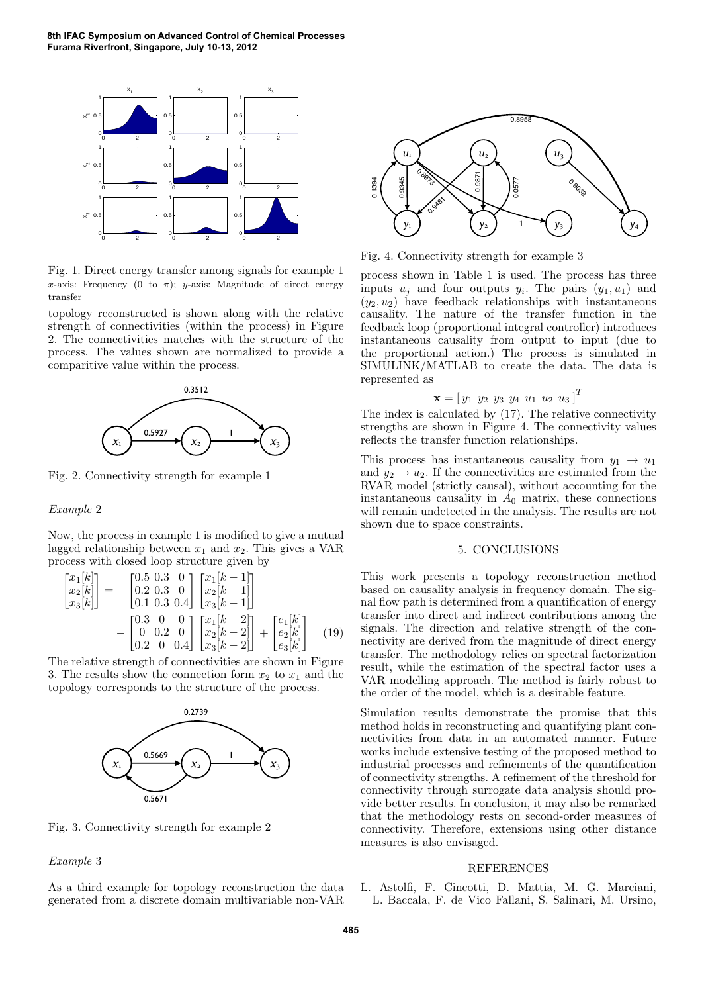**8th IFAC Symposium on Advanced Control of Chemical Processes Furama Riverfront, Singapore, July 10-13, 2012**



Fig. 1. Direct energy transfer among signals for example 1 x-axis: Frequency (0 to  $\pi$ ); y-axis: Magnitude of direct energy transfer

topology reconstructed is shown along with the relative strength of connectivities (within the process) in Figure 2. The connectivities matches with the structure of the process. The values shown are normalized to provide a comparitive value within the process.



Fig. 2. Connectivity strength for example 1

### Example 2

Now, the process in example 1 is modified to give a mutual lagged relationship between  $x_1$  and  $x_2$ . This gives a VAR process with closed loop structure given by

$$
\begin{bmatrix} x_1[k] \\ x_2[k] \\ x_3[k] \end{bmatrix} = - \begin{bmatrix} 0.5 & 0.3 & 0 \\ 0.2 & 0.3 & 0 \\ 0.1 & 0.3 & 0.4 \end{bmatrix} \begin{bmatrix} x_1[k-1] \\ x_2[k-1] \\ x_3[k-1] \end{bmatrix}
$$

$$
- \begin{bmatrix} 0.3 & 0 & 0 \\ 0 & 0.2 & 0 \\ 0.2 & 0 & 0.4 \end{bmatrix} \begin{bmatrix} x_1[k-2] \\ x_2[k-2] \\ x_3[k-2] \end{bmatrix} + \begin{bmatrix} e_1[k] \\ e_2[k] \\ e_3[k] \end{bmatrix} \quad (19)
$$

The relative strength of connectivities are shown in Figure 3. The results show the connection form  $x_2$  to  $x_1$  and the topology corresponds to the structure of the process.



Fig. 3. Connectivity strength for example 2

#### Example 3

As a third example for topology reconstruction the data generated from a discrete domain multivariable non-VAR



Fig. 4. Connectivity strength for example 3

process shown in Table 1 is used. The process has three inputs  $u_j$  and four outputs  $y_i$ . The pairs  $(y_1, u_1)$  and  $(y_2, u_2)$  have feedback relationships with instantaneous causality. The nature of the transfer function in the feedback loop (proportional integral controller) introduces instantaneous causality from output to input (due to the proportional action.) The process is simulated in SIMULINK/MATLAB to create the data. The data is represented as

$$
\mathbf{x} = [y_1 \ y_2 \ y_3 \ y_4 \ u_1 \ u_2 \ u_3]^T
$$

The index is calculated by (17). The relative connectivity strengths are shown in Figure 4. The connectivity values reflects the transfer function relationships.

This process has instantaneous causality from  $y_1 \rightarrow y_1$ and  $y_2 \rightarrow u_2$ . If the connectivities are estimated from the RVAR model (strictly causal), without accounting for the instantaneous causality in  $A_0$  matrix, these connections will remain undetected in the analysis. The results are not shown due to space constraints.

# 5. CONCLUSIONS

This work presents a topology reconstruction method based on causality analysis in frequency domain. The signal flow path is determined from a quantification of energy transfer into direct and indirect contributions among the signals. The direction and relative strength of the connectivity are derived from the magnitude of direct energy transfer. The methodology relies on spectral factorization result, while the estimation of the spectral factor uses a VAR modelling approach. The method is fairly robust to the order of the model, which is a desirable feature.

Simulation results demonstrate the promise that this method holds in reconstructing and quantifying plant connectivities from data in an automated manner. Future works include extensive testing of the proposed method to industrial processes and refinements of the quantification of connectivity strengths. A refinement of the threshold for connectivity through surrogate data analysis should provide better results. In conclusion, it may also be remarked that the methodology rests on second-order measures of connectivity. Therefore, extensions using other distance measures is also envisaged.

#### REFERENCES

L. Astolfi, F. Cincotti, D. Mattia, M. G. Marciani, L. Baccala, F. de Vico Fallani, S. Salinari, M. Ursino,